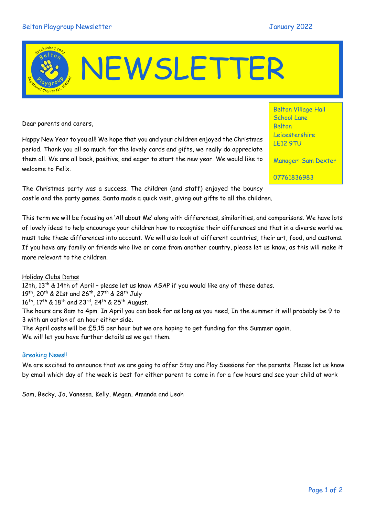# NEWSLETTER

Dear parents and carers,

Happy New Year to you all! We hope that you and your children enjoyed the Christmas period. Thank you all so much for the lovely cards and gifts, we really do appreciate them all. We are all back, positive, and eager to start the new year. We would like to welcome to Felix.

Belton Village Hall School Lane Belton Leicestershire LE12 9TU

Manager: Sam Dexter

07761836983

The Christmas party was a success. The children (and staff) enjoyed the bouncy castle and the party games. Santa made a quick visit, giving out gifts to all the children.

This term we will be focusing on 'All about Me' along with differences, similarities, and comparisons. We have lots of lovely ideas to help encourage your children how to recognise their differences and that in a diverse world we must take these differences into account. We will also look at different countries, their art, food, and customs. If you have any family or friends who live or come from another country, please let us know, as this will make it more relevant to the children.

#### Holiday Clubs Dates

12th, 13<sup>th</sup> & 14th of April - please let us know ASAP if you would like any of these dates.

19th, 20th & 21st and 26th, 27th & 28th July

16<sup>th</sup>, 17<sup>th</sup> & 18<sup>th</sup> and 23<sup>rd</sup>, 24<sup>th</sup> & 25<sup>th</sup> August.

The hours are 8am to 4pm. In April you can book for as long as you need, In the summer it will probably be 9 to 3 with an option of an hour either side.

The April costs will be £5.15 per hour but we are hoping to get funding for the Summer again. We will let you have further details as we get them.

#### Breaking News!!

We are excited to announce that we are going to offer Stay and Play Sessions for the parents. Please let us know by email which day of the week is best for either parent to come in for a few hours and see your child at work

Sam, Becky, Jo, Vanessa, Kelly, Megan, Amanda and Leah